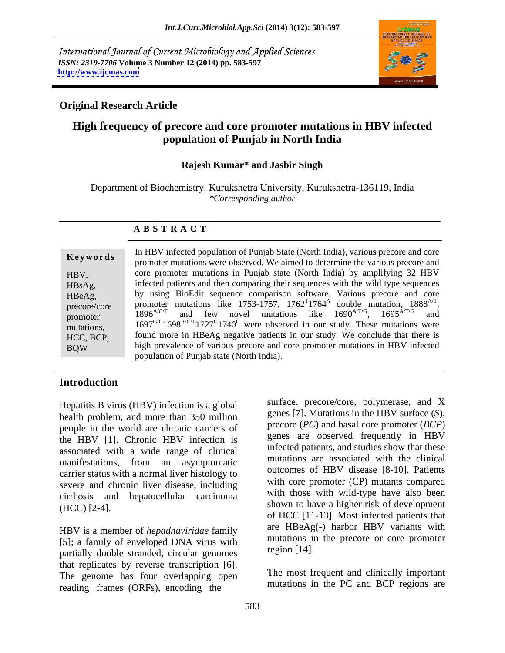International Journal of Current Microbiology and Applied Sciences *ISSN: 2319-7706* **Volume 3 Number 12 (2014) pp. 583-597 <http://www.ijcmas.com>**



# **Original Research Article**

# **High frequency of precore and core promoter mutations in HBV infected population of Punjab in North India**

### **Rajesh Kumar\* and Jasbir Singh**

Department of Biochemistry, Kurukshetra University, Kurukshetra-136119, India *\*Corresponding author* 

### **A B S T R A C T**

**Keywords**promoter mutations were observed. We aimed to determine the various precore and promoter mutations were observed. We aimed to determine the various precore and HBV, core promoter mutations in Punjab state (North India) by amplifying 32 HBV HBsAg, infected patients and then comparing their sequences with the wild type sequences  $HBeAg$ , by using BioEdit sequence comparison software. Various precore and core precore/core promoter mutations like  $1/53-1/57$ ,  $1/62-1/64$  double mutation,  $1888$ <sup>\*\*</sup>, promoter  $1896^\circ$  and few novel mutations like  $1690^\circ$ ,  $1695^\circ$  and mutations,  $1697^{G/C}1698^{A/C/T}1727^{G}1740^{C}$  were observed in our study. These mutations were HCC, BCP, found more in HBeAg negative patients in our study. We conclude that there is BQW high prevalence of various precore and core promoter mutations in HBV infected In HBV infected population of Punjab State (North India), various precore and core promoter mutations like 1753-1757, 1762<sup>T</sup>1764<sup>A</sup> double mutation, 1888<sup>A/T</sup>,<br>1896<sup>A/C/T</sup> and few novel mutations like 1690<sup>A/T/G</sup>, 1695<sup>A/T/G</sup> and  $, 1695^{\text{A/T/G}}$  and population of Punjab state (North India).

# **Introduction**

Hepatitis B virus (HBV) infection is a global health problem, and more than 350 million people in the world are chronic carriers of the HBV [1]. Chronic HBV infection is associated with a wide range of clinical manifestations, from an asymptomatic carrier status with a normal liver histology to severe and chronic liver disease, including cirrhosis and hepatocellular carcinoma

HBV is a member of *hepadnaviridae* family [5]; a family of enveloped DNA virus with mutations in region [14]. partially double stranded, circular genomes that replicates by reverse transcription [6]. The genome has four overlapping open reading frames (ORFs), encoding the

(HCC) [2-4]. shown to have a higher risk of development surface, precore/core, polymerase, and X genes [7]. Mutations in the HBV surface (*S*), precore (*PC*) and basal core promoter (*BCP*) genes are observed frequently in HBV infected patients, and studies show that these mutations are associated with the clinical outcomes of HBV disease [8-10]. Patients with core promoter (CP) mutants compared with those with wild-type have also been of HCC [11-13]. Most infected patients that are HBeAg(-) harbor HBV variants with mutations in the precore or core promoter region [14].

> The most frequent and clinically important mutations in the PC and BCP regions are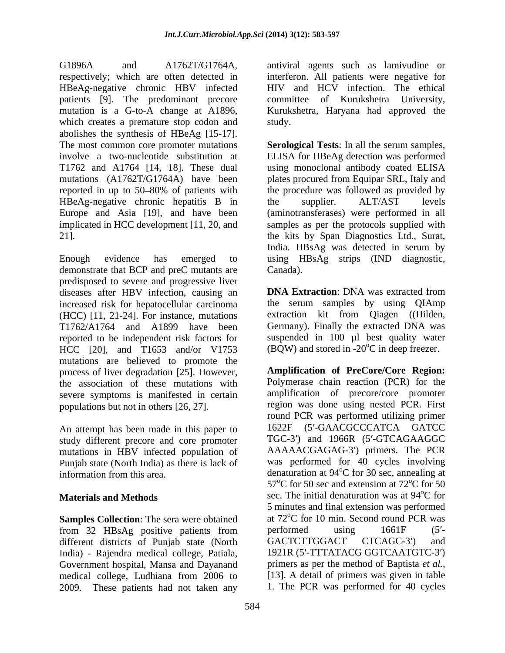G1896A and A1762T/G1764A, antiviral agents such as lamivudine or respectively; which are often detected in interferon. All patients were negative for HBeAg-negative chronic HBV infected HIV and HCV infection. The ethical patients [9]. The predominant precore mutation is a G-to-A change at A1896, Kurukshetra, Haryana had approved the which creates a premature stop codon and study. abolishes the synthesis of HBeAg [15-17]. HBeAg-negative chronic hepatitis B in the supplier. ALT/AST levels

Enough evidence has emerged to using HBsAg strips (IND diagnostic, demonstrate that BCP and preC mutants are Canada). predisposed to severe and progressive liver diseases after HBV infection, causing an **DNA Extraction**: DNA was extracted from increased risk for hepatocellular carcinoma (HCC) [11, 21-24]. For instance, mutations T1762/A1764 and A1899 have been reported to be independent risk factors for suspended in 100 µl best quality water HCC [20], and T1653 and/or V1753 mutations are believed to promote the process of liver degradation [25]. However, the association of these mutations with severe symptoms is manifested in certain populations but not in others [26, 27].

An attempt has been made in this paper to study different precore and core promoter mutations in HBV infected population of Punjab state (North India) as there is lack of

**Samples Collection**: The sera were obtained from 32 HBsAg positive patients from performed using 1661F (5'different districts of Punjab state (North GACTCTTGGACT CTCAGC-3') and India) - Rajendra medical college, Patiala, Government hospital, Mansa and Dayanand medical college, Ludhiana from 2006 to 2009. These patients had not taken any

committee of Kurukshetra University, study.

The most common core promoter mutations **Serological Tests**: In all the serum samples, involve a two-nucleotide substitution at ELISA for HBeAg detection was performed T1762 and A1764 [14, 18]. These dual using monoclonal antibody coated ELISA mutations (A1762T/G1764A) have been plates procured from Equipar SRL, Italy and reported in up to 50–80% of patients with the procedure was followed as provided by Europe and Asia [19], and have been (aminotransferases) were performed in all implicated in HCC development [11, 20, and samples as per the protocols supplied with 21]. the kits by Span Diagnostics Ltd., Surat, the supplier. ALT/AST levels India. HBsAg was detected in serum by Canada).

> **DNA Extraction**: DNA was extracted from the serum samples by using QIAmp extraction kit from Qiagen ((Hilden, Germany). Finally the extracted DNA was (BQW) and stored in  $-20^{\circ}$ C in deep freezer.

information from this area. denaturation at 94<sup>o</sup>C for 30 sec, annealing at **Materials and Methods** Sec. The initial denaturation was at 94<sup>o</sup>C for **Amplification of PreCore/Core Region:** Polymerase chain reaction (PCR) for the amplification of precore/core promoter region was done using nested PCR. First round PCR was performed utilizing primer 1622F (5'-GAACGCCCATCA GATCC TGC-3') and 1966R (5'-GTCAGAAGGC AAAAACGAGAG-3') primers. The PCR was performed for 40 cycles involving <sup>o</sup>C for 30 sec, annealing at  $57^{\circ}$ C for 50 sec and extension at  $72^{\circ}$ C for 50  $^{\circ}$ C for 50 <sup>o</sup>C for 5 minutes and final extension was performed at  $72^{\circ}$ C for 10 min. Second round PCR was <sup>o</sup>C for 10 min. Second round PCR was performed using 1661F (5'-GACTCTTGGACT CTCAGC-3') and 1921R (5'-TTTATACG GGTCAATGTC-3') primers as per the method of Baptista *et al.,* [13]. A detail of primers was given in table 1. The PCR was performed for 40 cycles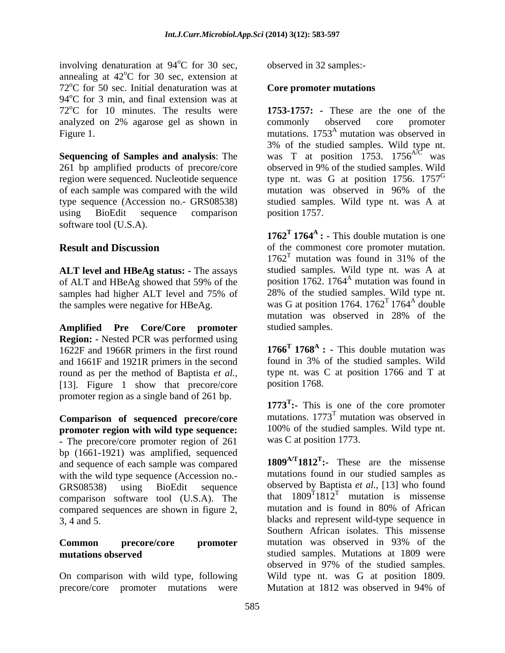involving denaturation at 94<sup>o</sup>C for 30 sec, annealing at  $42^{\circ}$ C for 30 sec, extension at  $\rm{^{\circ}C}$  for 30 sec, extension at  $72^{\circ}$ C for 50 sec. Initial denaturation was at  $94^{\circ}$ C for 3 min, and final extension was at  $72^{\circ}$ C for 10 minutes. The results were analyzed on 2% agarose gel as shown in

of each sample was compared with the wild software tool (U.S.A).

**ALT level and HBeAg status: -** The assays

**Amplified Pre Core/Core promoter Region: -** Nested PCR was performed using 1622F and 1966R primers in the first round and 1661F and 1921R primers in the second round as per the method of Baptista *et al.,* [13]. Figure 1 show that precore/core promoter region as a single band of 261 bp.

**Comparison of sequenced precore/core promoter region with wild type sequence: -** The precore/core promoter region of 261 bp (1661-1921) was amplified, sequenced and sequence of each sample was compared with the wild type sequence (Accession no. comparison software tool (U.S.A). The compared sequences are shown in figure 2,

precore/core promoter mutations were Mutation at 1812 was observed in 94% of

 $^{\circ}$ C for 30 sec, observed in 32 samples:observed in 32 samples:-

### **Core promoter mutations**

Figure 1. The mutations. 1753<sup>A</sup> mutation was observed in **Sequencing of Samples and analysis:** The was T at position 1753. 1756<sup>A/C</sup> was 261 bp amplified products of precore/core observed in 9% of the studied samples. Wild region were sequenced. Nucleotide sequence type nt. was G at position 1756. 1757<sup>G</sup> type sequence (Accession no.- GRS08538) studied samples. Wild type nt. was A at using BioEdit sequence comparison position 1757. **1753-1757: -** These are the one of the commonly observed core promoter 3% of the studied samples. Wild type nt. mutation was observed in 96% of the position 1757.

**Result and Discussion** of the commonest core promoter mutation. of ALT and HBeAg showed that 59% of the position 1762. 1764<sup>A</sup> mutation was found in samples had higher ALT level and 75% of 28% of the studied samples. Wild type nt. the samples were negative for HBeAg. was G at position 1764.  $1762^T 1764^A$  double **1762<sup>T</sup> 1764<sup>A</sup> : - This double mutation is one**  $1762^T$  mutation was found in 31% of the mutation was found in 31% of the studied samples. Wild type nt. was A at position 1762.  $1764<sup>A</sup>$  mutation was found in mutation was found in 28% of the studied samples. Wild type nt. double **contract to the contract of the contract of the contract of the contract of the contract of the contract of the contract of the contract of the contract of the contract of the contract of the contract of the contra** mutation was observed in 28% of the studied samples.

> **1766<sup>T</sup> 1768<sup>A</sup> : - This double mutation was** found in 3% of the studied samples. Wild type nt. was C at position 1766 and T at position 1768.

**1773<sup>T</sup> :-** This is one of the core promoter mutations.  $1773<sup>T</sup>$  mutation was observed in mutation was observed in 100% of the studied samples. Wild type nt. was C at position 1773.

GRS08538) using BioEdit sequence observed by Baptista *et al.*, [13] who found 3, 4 and 5. blacks and represent wild-type sequence in **Common precore/core promoter mutation** was observed in 93% of the **mutations observed** studied samples. Mutations at 1809 were On comparison with wild type, following Wild type nt. was G at position 1809. **1809A/T1812T :-** These are the missense mutations found in our studied samples as that  $1809^{\text{T}}1812^{\text{T}}$  mutation is missense mutation is missense mutation and is found in 80% of African Southern African isolates. This missense mutation was observed in 93% of the observed in 97% of the studied samples. Mutation at 1812 was observed in 94% of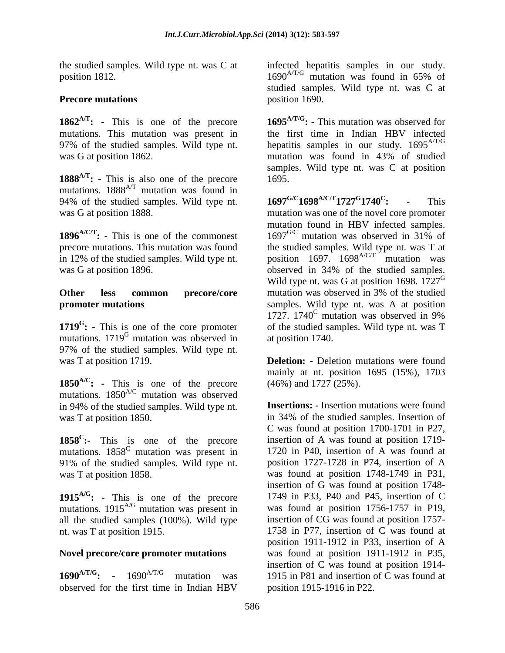position 1812.

was G at position 1862. The mutation was found in 43% of studied

**1888**<sup>A/T</sup>: - This is also one of the precore 1695. mutations.  $1888^{A/T}$  mutation was found in<br>94% of the studied samples. Wild type nt  $1697^{G/C}1698^{A/C/T}1727^{G}1740^{C}$ . 94% of the studied samples. Wild type nt.  $1697^{G/C}1698^{A/C/T}1727^{G}1740^{C}$ : - This

in 12% of the studied samples. Wild type nt.

**1719<sup>G</sup>:** - This is one of the core promoter mutations. 1719<sup>G</sup> mutation was observed in 97% of the studied samples. Wild type nt.

**1850A/C: -** This is one of the precore mutations. 1850<sup>A/C</sup> mutation was observed in 94% of the studied samples. Wild type nt.

**1858<sup>C</sup>:-** This is one of the precore mutations.  $1858^{\circ}$  mutation was present in 91% of the studied samples. Wild type nt.

**1915A/G: -** This is one of the precore mutations.  $1915^{A/G}$  mutation was present in all the studied samples (100%). Wild type

observed for the first time in Indian HBV

the studied samples. Wild type nt. was C at infected hepatitis samples in our study. **Precore mutations** position 1690.  $1690^{AT/G}$  mutation was found in 65% of studied samples. Wild type nt. was C at position 1690.

**1862A/T: -** This is one of the precore **1695A/T/G: -** This mutation was observed for mutations. This mutation was present in the first time in Indian HBV infected 97% of the studied samples. Wild type nt. hepatitis samples in our study.  $1695^{A/T/G}$ mutation was found in 43% of studied samples. Wild type nt. was C at position 1695.

was G at position 1888. mutation was one of the novel core promoter **1896**<sup>A/C/T</sup>: - This is one of the commonest 1697<sup>G/C</sup> mutation was observed in 31% of precore mutations. This mutation was found the studied samples. Wild type nt. was T at was G at position 1896. observed in 34% of the studied samples. **Other** less common precore/core mutation was observed in 3% of the studied **promoter mutations** samples. Wild type nt. was A at position **: -** This is one of the core promoter of the studied samples. Wild type nt. was T **1697<sup>G/C</sup>1698<sup>A/C/T</sup>1727<sup>G</sup>1740<sup>C</sup>: - This 1740<sup>C</sup>: - This : -**This mutation found in HBV infected samples. position 1697.  $1698^{A/C/T}$  mutation was Wild type nt. was G at position 1698.  $1727^{\text{G}}$ 1727. 1740 $^{\circ}$  mutation was observed in 9% at position 1740.

was T at position 1719. **Deletion:** - Deletion: We beletion: Notice that the set of the set of the set of the set of the set of the set of the set of the set of the set of the set of the set of the set of the set of the se mainly at nt. position 1695 (15%), 1703 (46%) and 1727 (25%).

was T at position 1850. in 34% of the studied samples. Insertion of **:-** This is one of the precore insertion of A was found at position 1719 was T at position 1858. was found at position 1748-1749 in P31, nt. was T at position 1915. 1758 in P77, insertion of C was found at **Novel precore/core promoter mutations**  was found at position 1911-1912 in P35, **1690**<sup>A/T/G</sup>: - 1690<sup>A/T/G</sup> mutation was 1915 in P81 and insertion of C was found at **Insertions: -** Insertion mutations were found C was found at position 1700-1701 in P27, 1720 in P40, insertion of A was found at position 1727-1728 in P74, insertion of A insertion of G was found at position 1748- 1749 in P33, P40 and P45, insertion of C was found at position 1756-1757 in P19, insertion of CG was found at position 1757 position 1911-1912 in P33, insertion of A insertion of C was found at position 1914 position 1915-1916 in P22.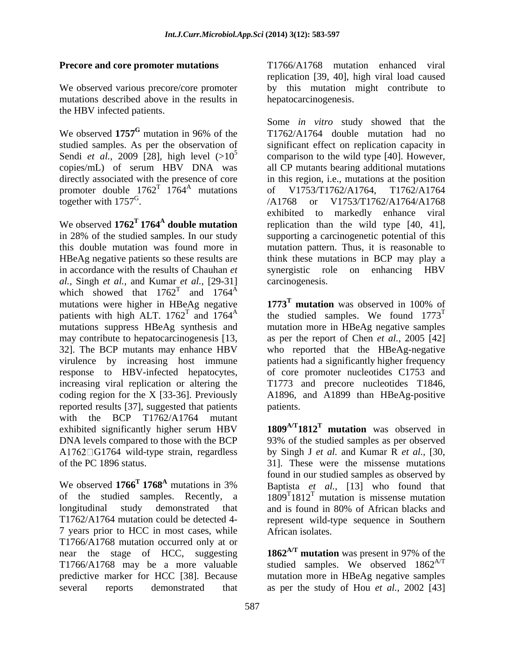mutations described above in the results in the HBV infected patients.

We observed 1757<sup>G</sup> mutation in 96% of the Sendi *et al.*, 2009 [28], high level  $(>10^5$  copies/mL) of serum HBV DNA was directly associated with the presence of core promoter double  $1762^T$   $1764^A$  mutations of V1753/T1762/A1764, T1762/A1764 together with  $1757^G$ .<br>  $\angle A1768$  or V1753/T1762/A1764/A1768

in accordance with the results of Chauhan *et* synergistic role on enhancing HBV *al.,* Singh *et al.,* and Kumar *et al.,* [29-31] which showed that  $1762^{\text{T}}$  and  $1764^{\text{A}}$ and  $1764^{\text{A}}$ mutations were higher in HBeAg negative  $1773^T$  mutation was observed in 100% of patients with high ALT.  $1762^T$  and  $1764^A$  the studied samples. We found  $1773^T$ patients with high ALT.  $1762^T$  and  $1764^A$  the studied samples. We found  $1773^T$ mutations suppress HBeAg synthesis and mutation more in HBeAg negative samples may contribute to hepatocarcinogenesis [13, as per the report of Chen *et al.*, 2005 [42] 32]. The BCP mutants may enhance HBV who reported that the HBeAg-negative virulence by increasing host immune response to HBV-infected hepatocytes, of core promoter nucleotides C1753 and increasing viral replication or altering the T1773 and precore nucleotides T1846, coding region for the X [33-36]. Previously A1896, and A1899 than HBeAg-positive reported results [37], suggested that patients with the BCP T1762/A1764 mutant exhibited significantly higher serum HBV DNA levels compared to those with the BCP 93% of the studied samples as per observed A 1762 $\Box$ G1764 wild-type strain, regardless by Singh J *et al.* and Kumar R *et al.*, [30, of the PC 1896 status. 31]. These were the missense mutations

We observed  $1766^T 1768^A$  mutations in 3% Baptista *et al.*, [13] who found that of the studied samples. Recently, a  $1809^T 1812^T$  mutation is missense mutation longitudinal study demonstrated that and is found in 80% of African blacks and T1762/A1764 mutation could be detected 4- represent wild-type sequence in Southern 7 years prior to HCC in most cases, while T1766/A1768 mutation occurred only at or near the stage of HCC, suggesting **1862A/T mutation** was present in 97% of the T1766/A1768 may be a more valuable studied samples. We observed 1862<sup>A/T</sup> predictive marker for HCC [38]. Because mutation more in HBeAg negative samples

**Precore and core promoter mutations** T1766/A1768 mutation enhanced viral We observed various precore/core promoter by this mutation might contribute to replication [39, 40], high viral load caused hepatocarcinogenesis.

mutation in 96% of the T1762/A1764 double mutation had no studied samples. As per the observation of significant effect on replication capacity in <sup>5</sup> comparison to the wild type [40]. However, copies/mL) of serum HBV DNA was all CP mutants bearing additional mutations V1753/T1762/A1764, together with  $1757^{\text{G}}$ .  $\sqrt{A1768}$  or  $V1753/T1762/A1764/A1768$ together with 1757<sup>G</sup>.<br>
We observed **1762<sup>T</sup> 1764<sup>A</sup> double mutation**<br>
We observed **1762<sup>T</sup> 1764<sup>A</sup> double mutation**<br>
The preplication than the wild type [40, 41], **double mutation** replication than the wild type [40, 41], in 28% of the studied samples. In our study supporting a carcinogenetic potential of this this double mutation was found more in mutation pattern. Thus, it is reasonable to HBeAg negative patients so these results are think these mutations in BCP may play a Some *in vitro* study showed that the in this region, i.e., mutations at the position of V1753/T1762/A1764, T1762/A1764 /A1768 or V1753/T1762/A1764/A1768 exhibited to markedly enhance viral synergistic role on enhancing HBV carcinogenesis.

> **1773<sup>T</sup> mutation** was observed in 100% of patients had a significantly higher frequency patients.

**1809A/T1812T mutation** was observed in found in our studied samples as observed by and is found in 80% of African blacks and African isolates.

several reports demonstrated that as per the study of Hou *et al.,* 2002 [43]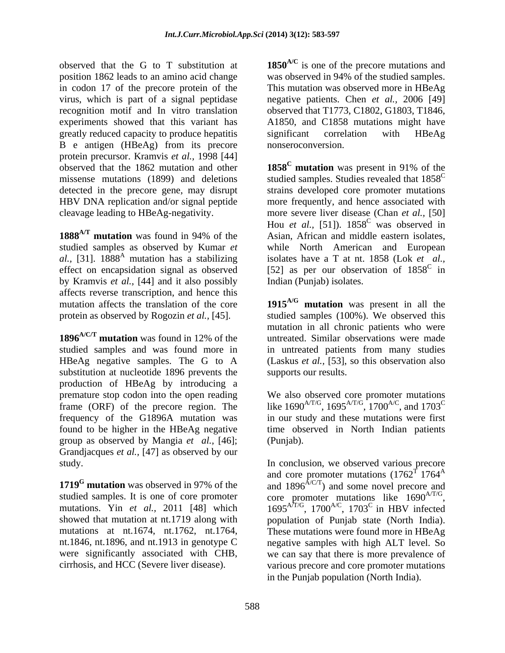position 1862 leads to an amino acid change was observed in 94% of the studied samples. in codon 17 of the precore protein of the virus, which is part of a signal peptidase negative patients. Chen *et al.,* 2006 [49] recognition motif and In vitro translation observed that T1773, C1802, G1803, T1846, experiments showed that this variant has A1850, and C1858 mutations might have greatly reduced capacity to produce hepatitis B e antigen (HBeAg) from its precore protein precursor. Kramvis *et al.,* 1998 [44] observed that the 1862 mutation and other **1858<sup>C</sup>** mutation was present in 91% of the

**1888A/T mutation** was found in 94% of the by Kramvis *et al.,* [44] and it also possibly affects reverse transcription, and hence this

**1896A/C/T mutation** was found in 12% of the studied samples and was found more in in untreated patients from many studies HBeAg negative samples. The G to A (Laskus *et al.,* [53], so this observation also substitution at nucleotide 1896 prevents the production of HBeAg by introducing a premature stop codon into the open reading We also observed core promoter mutations frame (ORF) of the precore region. The like  $1690^{A/1/G}$ ,  $1695^{A/1/G}$ ,  $1700^{A/C}$ , and  $1703^{C}$ frequency of the G1896A mutation was in our study and these mutations were first found to be higher in the HBeAg negative group as observed by Mangia *et al.,* [46]; Grandjacques *et al.,* [47] as observed by our study. In conclusion, we observed various precore

were significantly associated with CHB,

observed that the G to T substitution at **1850A/C** is one of the precore mutations and This mutation was observed more in HBeAg significant correlation with HBeAg nonseroconversion.

missense mutations (1899) and deletions studied samples. Studies revealed that 1858<sup>C</sup> detected in the precore gene, may disrupt strains developed core promoter mutations HBV DNA replication and/or signal peptide more frequently, and hence associated with cleavage leading to HBeAg-negativity. more severe liver disease (Chan *et al.,* [50] studied samples as observed by Kumar *et*  while North American and European al., [31]. 1888<sup>A</sup> mutation has a stabilizing isolates have a T at nt. 1858 (Lok *et al.,* effect on encapsidation signal as observed  $[52]$  as per our observation of  $1858^{\circ}$  in **1858<sup>C</sup> mutation** was present in 91% of the Hou *et al.*, [51]).  $1858^\circ$  was observed in was observed in Asian, African and middle eastern isolates, in Indian (Punjab) isolates.

mutation affects the translation of the core **1915A/G mutation** was present in all the protein as observed by Rogozin *et al.,* [45]. studied samples (100%). We observed this mutation in all chronic patients who were untreated. Similar observations were made supports our results.

> We also observed core promoter mutations like 1690<sup>A/T/G</sup>, 1695<sup>A/T/G</sup>, 1700<sup>A/C</sup>, and 1703<sup>C</sup> time observed in North Indian patients (Punjab).

**1719<sup>G</sup>** mutation was observed in 97% of the and 1896<sup> $\text{A}^{\text{C}}$ </sup>) and some novel precore and studied samples. It is one of core promoter  $\qquad$  core promoter mutations like  $1690^{A/T/G}$ , mutations. Yin *et al.*, 2011 [48] which  $1695^{A/T/G}$ , 1700<sup> $A/C$ </sup>, 1703<sup>C</sup> in HBV infected showed that mutation at nt.1719 along with population of Punjab state (North India). mutations at nt.1674, nt.1762, nt.1764, These mutations were found more in HBeAg nt.1846, nt.1896, and nt.1913 in genotype C negative samples with high ALT level. So cirrhosis, and HCC (Severe liver disease). various precore and core promoter mutations and core promoter mutations  $(1762^T) 1764^A$ core promoter mutations like  $1690^{A/1/G}$ ,  $1695^{A/T/G}$ ,  $1700^{A/C}$ ,  $1703^C$  in HBV infected ,  $1703^{\circ}$  in HBV infected we can say that there is more prevalence of in the Punjab population (North India).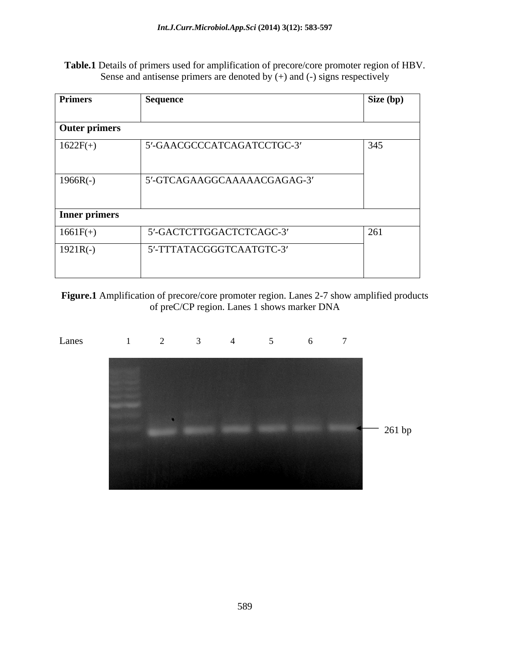**Table.1** Details of primers used for amplification of precore/core promoter region of HBV. Sense and antisense primers are denoted by  $(+)$  and  $(-)$  signs respectively

| <b>Primers</b>       | Sequence                    | Size (bp) |
|----------------------|-----------------------------|-----------|
| <b>Outer primers</b> |                             |           |
| $1622F(+)$           | 5'-GAACGCCCATCAGATCCTGC-3'  | 345       |
| $1966R(-)$           | 5'-GTCAGAAGGCAAAAACGAGAG-3' |           |
| Inner primers        |                             |           |
| $1661F(+)$           | 5'-GACTCTTGGACTCTCAGC-3'    | 261       |
| $1921R(-)$           | 5'-TTTATACGGGTCAATGTC-3'    |           |
|                      |                             |           |

**Figure.1** Amplification of precore/core promoter region. Lanes 2-7 show amplified products of preC/CP region. Lanes 1 shows marker DNA

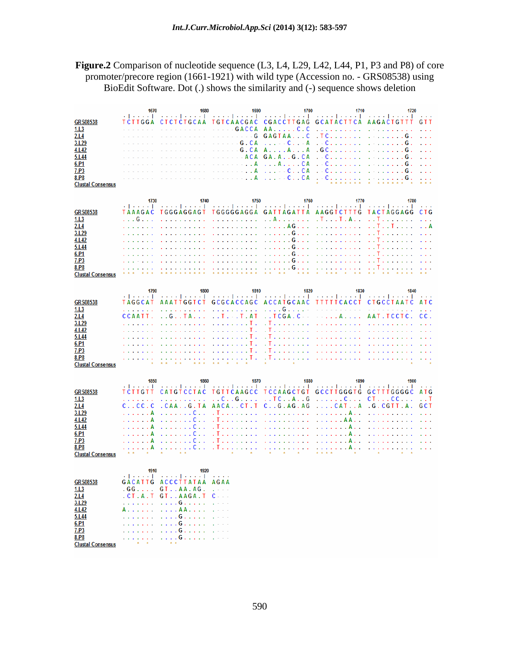**Figure.2** Comparison of nucleotide sequence (L3, L4, L29, L42, L44, P1, P3 and P8) of core promoter/precore region (1661-1921) with wild type (Accession no. - GRS08538) using BioEdit Software. Dot (.) shows the similarity and (-) sequence shows deletion

|                                  | 1670                 | 1680                                                                | 1690                                                                             | 1700                                                                               | 1710                                                                                                                                                         | 1720                                                                                                              |
|----------------------------------|----------------------|---------------------------------------------------------------------|----------------------------------------------------------------------------------|------------------------------------------------------------------------------------|--------------------------------------------------------------------------------------------------------------------------------------------------------------|-------------------------------------------------------------------------------------------------------------------|
| <b>GRS08538</b>                  | TCTTGGA              |                                                                     |                                                                                  |                                                                                    | والمتحدث والمتحدث والمتحدث والمتحدث والمتحدث والمتحدث والمتحدث والمتحدث والمتحدث والمتحدث والمتحدث<br>CICICIGCAA IGICAACGAC CGACCIIGAG GCAIACIICA AAGACIGIII | $\sim 1000$ km $^{-1}$<br>GTT                                                                                     |
| 1.L3                             |                      |                                                                     | <b>GACCA</b><br>$\sim$                                                           | C.C<br>AA                                                                          | <b>Service</b>                                                                                                                                               |                                                                                                                   |
| 2.14                             |                      | .                                                                   | <b>Contractor</b><br>$- - G$                                                     | GAGTAAC                                                                            | $.~$ T C $.~$ $.~$ $.~$ $.~$ $.~$ $.~$                                                                                                                       | and a straight<br>. G .                                                                                           |
| 3.L29                            | and the state of the | distribution of the control of the                                  | G.CA<br>s.                                                                       | $\ldots$ $\ldots$ $\ldots$ $\ldots$ $A$                                            |                                                                                                                                                              | a a la                                                                                                            |
| 4.L42                            |                      | .                                                                   | G.CA<br>$\sim$ $-$                                                               | A. A. A                                                                            |                                                                                                                                                              | G<br>a a c                                                                                                        |
| 5.L44<br>6.P1                    |                      | a a changaigh an an an a                                            | $ -$ ACA<br>. <b>. . A</b>                                                       | GA.A.<br>G.CA<br>. A CA                                                            | $\sim$                                                                                                                                                       | .<br>C. G                                                                                                         |
| 7.P3                             |                      | . <b>. . A</b>                                                      |                                                                                  | $\ldots$ $\ldots$ $C \ldots C A$                                                   |                                                                                                                                                              | $\sim$ $\sim$                                                                                                     |
| 8.P8                             |                      |                                                                     |                                                                                  |                                                                                    |                                                                                                                                                              | a a la                                                                                                            |
| <b>Clustal Consensus</b>         |                      |                                                                     |                                                                                  |                                                                                    |                                                                                                                                                              |                                                                                                                   |
|                                  |                      |                                                                     |                                                                                  |                                                                                    |                                                                                                                                                              |                                                                                                                   |
|                                  | 1730                 | 1740                                                                | 1750                                                                             | 1760                                                                               | 1770                                                                                                                                                         | 1780<br>ومعار المتموع المتمود والمتموع المتموعة والمتموعة والمتموع المتموعة والمتموعة والمستحدث المتموعة والمتحدة |
| GRS08538                         |                      |                                                                     |                                                                                  |                                                                                    |                                                                                                                                                              |                                                                                                                   |
| 1.L3                             | . G                  | and a straight and a straight                                       | the state of the state of the                                                    | . . A T T . A                                                                      |                                                                                                                                                              | . . T.                                                                                                            |
| 2.L4<br>3.L29                    |                      | and a straight and a<br>and a straight and a                        | and a straight and a straight and<br>and a straight and a straight               | . AG<br>. <b>G</b>                                                                 | the contract of the contract of                                                                                                                              | $\ldots$ T $\ldots$                                                                                               |
| 4.L42                            |                      |                                                                     | and a straight and a                                                             | . <b>G</b>                                                                         | and a straightful control                                                                                                                                    |                                                                                                                   |
| 5.L44                            |                      | and a straight and a straight                                       |                                                                                  | . 6                                                                                |                                                                                                                                                              | . . <del>1</del>                                                                                                  |
| 6.P1                             |                      | and a straight and a straight                                       | and a straight and a straight                                                    | . <b>G</b>                                                                         |                                                                                                                                                              | . . T<br>and a straight                                                                                           |
| 7.P3                             |                      |                                                                     | and a straight and a straight                                                    | . <b>G</b>                                                                         |                                                                                                                                                              |                                                                                                                   |
| 8.P8<br><b>Clustal Consensus</b> |                      | and a straight and a straight                                       | and the series of the series of                                                  | $\ldots \ldots \ldots \mathsf{G} \ldots \ldots \ldots \ldots \ldots \ldots \ldots$ |                                                                                                                                                              |                                                                                                                   |
|                                  |                      |                                                                     |                                                                                  |                                                                                    |                                                                                                                                                              |                                                                                                                   |
|                                  | 1790                 | 1800                                                                | 1810                                                                             | 1820                                                                               | 1830                                                                                                                                                         | 1840                                                                                                              |
| <b>GRS08538</b>                  | <b>TAGGCAT</b>       |                                                                     |                                                                                  |                                                                                    | AAATTGGTCT GCGCACCAGC ACCATGCAAC TTTTTCACCT CTGCCTAATC                                                                                                       | A T C                                                                                                             |
| 1.L3                             |                      |                                                                     | and a straightful and a                                                          | . G                                                                                | .                                                                                                                                                            | $\sim$ $-$                                                                                                        |
| 2.L4                             | CCAATT.              | $\ldots$ G. $\ldots$ TA $\ldots$ $\ldots$ T $\ldots$ T $\ldots$ A T |                                                                                  |                                                                                    | $\ldots$ TCGA . C $\ldots$ $\ldots$ $\ldots$ $\ldots$ $\ldots$ .                                                                                             | AAT. TCCTC.<br>CC.                                                                                                |
| 3.L29                            |                      | and a straight and a                                                | a constructo                                                                     |                                                                                    |                                                                                                                                                              | <b>Service</b>                                                                                                    |
| 4.L42                            |                      | and a straight and a straight                                       | . T .                                                                            |                                                                                    |                                                                                                                                                              | and a string                                                                                                      |
| 5.L44<br>6.P1                    |                      |                                                                     |                                                                                  | . The company of the company of the                                                |                                                                                                                                                              | and a straight and<br>and a straight and a                                                                        |
| 7.P3                             |                      |                                                                     |                                                                                  |                                                                                    | . The man man man man man man man man man                                                                                                                    |                                                                                                                   |
| 8.P8                             |                      |                                                                     |                                                                                  |                                                                                    | . Ta sa sa sa sa mga sa sa sa sa sa mga sa sa sa sa s                                                                                                        |                                                                                                                   |
| <b>Clustal Consensus</b>         |                      |                                                                     |                                                                                  |                                                                                    |                                                                                                                                                              |                                                                                                                   |
|                                  |                      | 1860                                                                | 1870                                                                             | 1880                                                                               | 1890                                                                                                                                                         |                                                                                                                   |
|                                  |                      |                                                                     |                                                                                  |                                                                                    |                                                                                                                                                              |                                                                                                                   |
| <b>GRS08538</b>                  | TCTTGTT              |                                                                     |                                                                                  |                                                                                    |                                                                                                                                                              | CATGTCCTAC TGTTCAAGCC TCCAAGCTGT GCCTTGGGTG GCTTTGGGGC ATG                                                        |
| 1.13<br>2.14                     | $c1$ , $c2$ , $c3$   | and a state<br>. CAA. . G. TA                                       | $\ldots$ C. $\ldots$ G. $\ldots$ $\ldots$ TC. $\ldots$ A. $\ldots$ G<br>AACACT.T | C. G. AG. AG                                                                       | . 0<br>$\ldots$ . CAT. $\ldots$ A                                                                                                                            | CT. CC<br>. . T<br>.G.CGTT<br>. A .<br>G C T                                                                      |
| 3.L29                            | . A                  | . C                                                                 |                                                                                  |                                                                                    |                                                                                                                                                              | and a straight                                                                                                    |
| 4.L42                            | . A                  | . C                                                                 |                                                                                  |                                                                                    |                                                                                                                                                              | <b>Contractor</b>                                                                                                 |
| 5.L44                            | . A                  | . 0                                                                 |                                                                                  |                                                                                    |                                                                                                                                                              | the contract of the contract of the                                                                               |
| 6.P1<br>7.P3                     |                      | . C<br>. 0                                                          |                                                                                  | . . The concernsion of the concernsion of the concerns of Alexander                |                                                                                                                                                              | the contract of the contract of the<br>and a straight and a straight                                              |
| 8.P8                             | . A                  |                                                                     |                                                                                  |                                                                                    |                                                                                                                                                              |                                                                                                                   |
| <b>Clustal Consensus</b>         |                      |                                                                     |                                                                                  | $\mathbf{x} = \mathbf{x}$                                                          | $x - x - x - x$<br>$\rightarrow$                                                                                                                             |                                                                                                                   |
|                                  |                      |                                                                     |                                                                                  |                                                                                    |                                                                                                                                                              |                                                                                                                   |
|                                  | 1910                 | 1920                                                                |                                                                                  |                                                                                    |                                                                                                                                                              |                                                                                                                   |
| GRS08538                         |                      | GACATTG ACCCTTATAA AGAA                                             |                                                                                  |                                                                                    |                                                                                                                                                              |                                                                                                                   |
| <u>1.L3</u>                      |                      | GG. GT. . A A. AG.                                                  | $\mathbf{r}$ , and $\mathbf{r}$                                                  |                                                                                    |                                                                                                                                                              |                                                                                                                   |
| 2.14<br>3.L29                    |                      | .CT.A.T GTAAGA.T<br>. <b>G</b>                                      | $C - -$<br><b>Allen Adams</b>                                                    |                                                                                    |                                                                                                                                                              |                                                                                                                   |
| 4.L42                            | A                    | . <b>AA</b>                                                         | <b>Contract</b>                                                                  |                                                                                    |                                                                                                                                                              |                                                                                                                   |
| 5.L <sub>44</sub>                |                      | . <sub>.</sub> G                                                    | <b>Contractor</b>                                                                |                                                                                    |                                                                                                                                                              |                                                                                                                   |
| 6.P1                             | .                    | . G                                                                 | $\sim$ 10 $\mu$                                                                  |                                                                                    |                                                                                                                                                              |                                                                                                                   |
| 7.P3<br>8.P8                     | .                    | . G<br>. G                                                          | $\mathbf{r}$                                                                     |                                                                                    |                                                                                                                                                              |                                                                                                                   |
| <b>Clustal Consensus</b>         |                      |                                                                     |                                                                                  |                                                                                    |                                                                                                                                                              |                                                                                                                   |
|                                  |                      |                                                                     |                                                                                  |                                                                                    |                                                                                                                                                              |                                                                                                                   |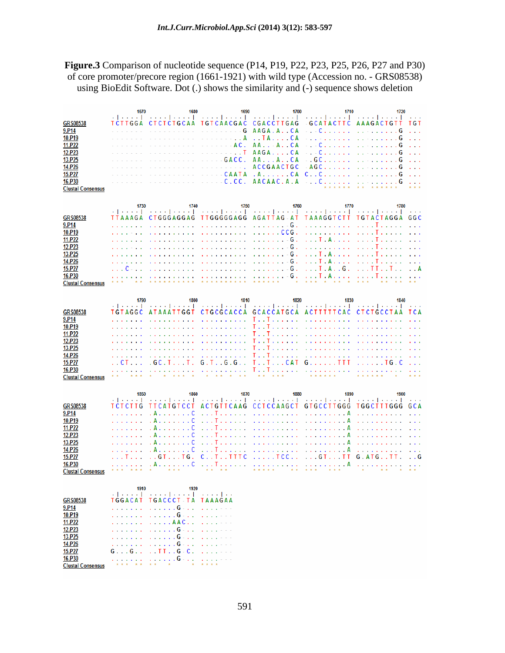**Figure.3** Comparison of nucleotide sequence (P14, P19, P22, P23, P25, P26, P27 and P30) of core promoter/precore region (1661-1921) with wild type (Accession no. - GRS08538) using BioEdit Software. Dot (.) shows the similarity and (-) sequence shows deletion

|                          | 1670               | 1680                                                                                                                      | 1690                                                                                                           | 1700                                                | 1710                                                          | 1720                                                                                                                                                                        |
|--------------------------|--------------------|---------------------------------------------------------------------------------------------------------------------------|----------------------------------------------------------------------------------------------------------------|-----------------------------------------------------|---------------------------------------------------------------|-----------------------------------------------------------------------------------------------------------------------------------------------------------------------------|
|                          |                    |                                                                                                                           |                                                                                                                |                                                     |                                                               | والمحال أأخرج والمستحدث أأخرج والمستحدث الأحديد والمتحدث أأأخر والمراجع والمتحدث أأأخرج والمتحدث أأأخرج والمراج                                                             |
| <b>GRS08538</b>          |                    | TCTTGGA CTCTCTGCAA TGTCAACGAC CGACCTTGAG GCATACTTC AAAGACTGTT                                                             |                                                                                                                |                                                     |                                                               | TGT                                                                                                                                                                         |
| 9.P14                    | .                  |                                                                                                                           |                                                                                                                | AAGA.A.CA                                           | . 0.                                                          | . G                                                                                                                                                                         |
| 10.P19                   | and a straight and |                                                                                                                           |                                                                                                                | . . T A C A                                         |                                                               | a a a                                                                                                                                                                       |
| 11.P22                   |                    | distribution of the control                                                                                               |                                                                                                                | $AA \ldots AA \ldots CA$                            |                                                               | a a la                                                                                                                                                                      |
| 12.P23                   |                    |                                                                                                                           | 11 <b>. T</b>                                                                                                  | $AAGA$ $CA$                                         |                                                               |                                                                                                                                                                             |
| 13.P25                   |                    | distribution of the control                                                                                               | a a anala<br>GACC.                                                                                             | $AA \ldots A \ldots CA$                             |                                                               | $\mathbf{r}$ and $\mathbf{r}$                                                                                                                                               |
| 14.P26                   |                    |                                                                                                                           | a a shekar                                                                                                     | <b>ACCGAACTGC</b>                                   | AGC. G                                                        | and a                                                                                                                                                                       |
| 15.P27<br>16.P30         |                    |                                                                                                                           |                                                                                                                |                                                     |                                                               | and a                                                                                                                                                                       |
| <b>Clustal Consensus</b> |                    |                                                                                                                           |                                                                                                                |                                                     |                                                               |                                                                                                                                                                             |
|                          |                    |                                                                                                                           |                                                                                                                |                                                     |                                                               |                                                                                                                                                                             |
|                          |                    |                                                                                                                           |                                                                                                                |                                                     |                                                               |                                                                                                                                                                             |
|                          |                    |                                                                                                                           |                                                                                                                |                                                     |                                                               |                                                                                                                                                                             |
| <b>GRS08538</b>          |                    |                                                                                                                           |                                                                                                                |                                                     |                                                               | TTAAAGA CTGGGAGGAG TTGGGGGAGG AGATTAG AT TAAAGGTCTT TGTACTAGGA GGC                                                                                                          |
| 9.P <sub>14</sub>        |                    | and a straight and a                                                                                                      | and a straight and a straight                                                                                  | $\ldots$ $G$ .                                      | and a straight and a                                          | . T                                                                                                                                                                         |
| 10.P19                   |                    | and a straight and a                                                                                                      | . 006.                                                                                                         |                                                     | the service of the services.                                  | . T                                                                                                                                                                         |
| 11.P22                   | and a straight     | and a straight and a                                                                                                      | . 6 .                                                                                                          |                                                     | . T . A                                                       | . T                                                                                                                                                                         |
| 12.P23                   | and a strong of    |                                                                                                                           |                                                                                                                |                                                     | the contract of the contract of                               | . T                                                                                                                                                                         |
| 13.P25                   | and a straight and |                                                                                                                           |                                                                                                                |                                                     | . T . A                                                       | . T                                                                                                                                                                         |
| 14.P26                   | and a straight and |                                                                                                                           |                                                                                                                |                                                     | . T . A                                                       | . T                                                                                                                                                                         |
| <b>15.P27</b>            | . C -              |                                                                                                                           |                                                                                                                |                                                     | $\ldots$ T $\ldots$ G $\ldots$                                | . TT T<br>. . А                                                                                                                                                             |
| 16.P30                   |                    |                                                                                                                           | *********** ****** *                                                                                           |                                                     | $* * * * * * * *$                                             | a a la                                                                                                                                                                      |
| <b>Clustal Consensus</b> |                    |                                                                                                                           |                                                                                                                |                                                     |                                                               |                                                                                                                                                                             |
|                          |                    |                                                                                                                           |                                                                                                                |                                                     |                                                               |                                                                                                                                                                             |
|                          | 1790               | 1800                                                                                                                      | 1810                                                                                                           | 1820                                                | 1830                                                          | 1840<br>ومحال أوجود المحدد الأخدم والمحدد المحددة المحدد الأحدد المحدد الأحدد المحدد المحدد المحدد                                                                          |
| <b>GRS08538</b>          |                    |                                                                                                                           |                                                                                                                |                                                     |                                                               | TGTAGGC ATAAATTGGT CTGCGCACCA GCACCATGCA ACTTTTTCAC CTCTGCCTAA TCA                                                                                                          |
| 9.P14                    | and a straight and |                                                                                                                           |                                                                                                                |                                                     |                                                               | and a straight and a                                                                                                                                                        |
| 10.P19                   |                    |                                                                                                                           |                                                                                                                |                                                     |                                                               | and a straight and a straight                                                                                                                                               |
| 11.P22                   |                    | and a straight and a                                                                                                      | and a straightful control of the state of the state of the state of the state of the state of the state of the | T. . T.                                             | the state of the state of the                                 |                                                                                                                                                                             |
| 12.P23                   | <u>.</u>           |                                                                                                                           |                                                                                                                |                                                     |                                                               | and a straight and state                                                                                                                                                    |
| 13.P25                   | and a straight and |                                                                                                                           |                                                                                                                |                                                     | The Theorem is a complete state                               | the service of the service                                                                                                                                                  |
| 14.P26                   | and a straight and |                                                                                                                           |                                                                                                                |                                                     |                                                               |                                                                                                                                                                             |
| <b>15.P27</b>            | . . CT             | .GC.T. T.                                                                                                                 |                                                                                                                | G.T. . G.G. T. . T. CAT                             | $G$ TTT T $G$ .C                                              | and a                                                                                                                                                                       |
| 16.P30                   |                    | $\begin{array}{cccccccccccccc} \bullet & \bullet & \bullet & \bullet & \bullet & \bullet & \bullet & \bullet \end{array}$ | * * * * * * * * * * * *                                                                                        |                                                     | $\bullet\ast\ast\ast\ast\ast$                                 |                                                                                                                                                                             |
| <b>Clustal Consensus</b> |                    |                                                                                                                           |                                                                                                                |                                                     |                                                               |                                                                                                                                                                             |
|                          |                    |                                                                                                                           |                                                                                                                |                                                     |                                                               |                                                                                                                                                                             |
|                          | 1850               | 1860                                                                                                                      | 1870                                                                                                           | 1880                                                | 1890                                                          | 1900                                                                                                                                                                        |
| <b>GRS08538</b>          |                    |                                                                                                                           |                                                                                                                |                                                     |                                                               | وتعتب المتحوية المتحوين المتحوية المتحورة المتحوية المتحورة المتحوية المتحورة وتحتمل المتحورة المتحول<br>TCTCTTG TTCATGTCCT ACTGTTCAAG CCTCCAAGCT GTGCCTTGGG TGGCTTTGGG GCA |
| 9.P <sub>14</sub>        | .                  | . A C                                                                                                                     |                                                                                                                | and The results in a resolution of the resolution A |                                                               |                                                                                                                                                                             |
| 10.P19                   | and a straight     | . A C                                                                                                                     |                                                                                                                |                                                     |                                                               | and a straight and a                                                                                                                                                        |
| 11.P22                   | a dia ang pag-     | . A C                                                                                                                     |                                                                                                                |                                                     |                                                               | and a straight and a                                                                                                                                                        |
| 12.P23                   | and a straight     | . A C                                                                                                                     |                                                                                                                |                                                     |                                                               | and a straight and a                                                                                                                                                        |
| 13.P25                   | .                  | . A C                                                                                                                     | . The concern concern concern                                                                                  |                                                     | . A                                                           | and a straight and a                                                                                                                                                        |
| 14.P26                   | .                  | . A C                                                                                                                     |                                                                                                                |                                                     |                                                               | the contract of the contract of the                                                                                                                                         |
| <b>15.P27</b>            | . T                | $\ldots$ GT. $\ldots$ TG. $\ldots$ C. $\ldots$ T. TITTC $\ldots$ TCC. GT. TT.                                             |                                                                                                                |                                                     |                                                               | $G.ATG.$ . TT.<br>. . G                                                                                                                                                     |
| 16.P30                   | .                  |                                                                                                                           |                                                                                                                |                                                     |                                                               |                                                                                                                                                                             |
| <b>Clustal Consensus</b> |                    | $\mathbf x$ . The set of $\mathbf x$                                                                                      | $x - x = x - x$                                                                                                |                                                     | $\mathbf{x} \times \mathbf{x}$ $\mathbf{x} \times \mathbf{x}$ |                                                                                                                                                                             |
|                          |                    |                                                                                                                           |                                                                                                                |                                                     |                                                               |                                                                                                                                                                             |
|                          | 1910               | 1920<br>فترا بتنبير التبيتين التبيت التبيتين                                                                              |                                                                                                                |                                                     |                                                               |                                                                                                                                                                             |
| <b>GRS08538</b>          |                    | TGGACAT TGACCCT TA TAAAGAA                                                                                                |                                                                                                                |                                                     |                                                               |                                                                                                                                                                             |
| 9.P <sub>14</sub>        | a dia manana       | . G                                                                                                                       |                                                                                                                |                                                     |                                                               |                                                                                                                                                                             |
| 10.P19                   | .                  | . <b>G</b>                                                                                                                |                                                                                                                |                                                     |                                                               |                                                                                                                                                                             |
| 11.P22                   | .                  | . AAC                                                                                                                     |                                                                                                                |                                                     |                                                               |                                                                                                                                                                             |
| 12.P23                   | .                  | . G                                                                                                                       |                                                                                                                |                                                     |                                                               |                                                                                                                                                                             |
| 13.P25                   | .                  | . G                                                                                                                       |                                                                                                                |                                                     |                                                               |                                                                                                                                                                             |
| 14.P26                   | .                  | . G - -                                                                                                                   |                                                                                                                |                                                     |                                                               |                                                                                                                                                                             |
| <b>15.P27</b>            | G G                | . . T T G - C - -                                                                                                         |                                                                                                                |                                                     |                                                               |                                                                                                                                                                             |
| 16.P30                   |                    | . G -                                                                                                                     |                                                                                                                |                                                     |                                                               |                                                                                                                                                                             |
| <b>Clustal Consensus</b> |                    |                                                                                                                           |                                                                                                                |                                                     |                                                               |                                                                                                                                                                             |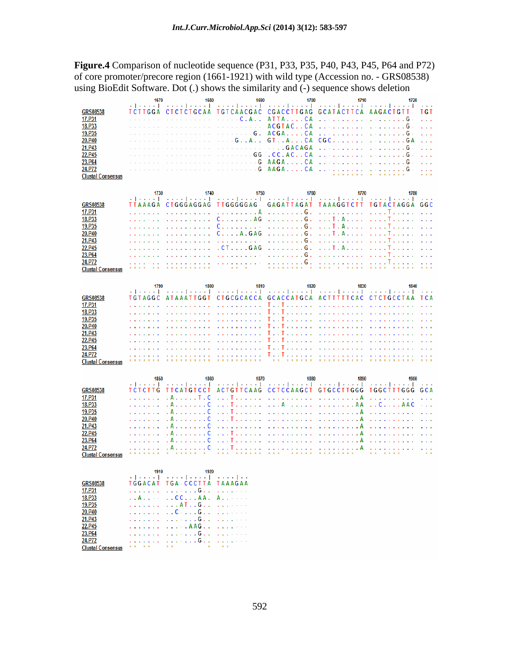**Figure.4** Comparison of nucleotide sequence (P31, P33, P35, P40, P43, P45, P64 and P72) of core promoter/precore region (1661-1921) with wild type (Accession no. - GRS08538) using BioEdit Software. Dot (.) shows the similarity and (-) sequence shows deletion

|                          | 1670                            | 1680                                                               | 1690                                       | 1700                                                                                                                                              | 1710                                                                                                                                                                                                                                                                                                                                                                                                                                                                                                                   | 1720                                                                                            |
|--------------------------|---------------------------------|--------------------------------------------------------------------|--------------------------------------------|---------------------------------------------------------------------------------------------------------------------------------------------------|------------------------------------------------------------------------------------------------------------------------------------------------------------------------------------------------------------------------------------------------------------------------------------------------------------------------------------------------------------------------------------------------------------------------------------------------------------------------------------------------------------------------|-------------------------------------------------------------------------------------------------|
|                          |                                 |                                                                    |                                            |                                                                                                                                                   |                                                                                                                                                                                                                                                                                                                                                                                                                                                                                                                        | <b>Service</b>                                                                                  |
| <b>GRS08538</b>          |                                 | TCTTGGA CTCTCTGCAA                                                 | <b>TGTCAACGAC</b>                          | CGACCTTGAG GCATACTTCA                                                                                                                             |                                                                                                                                                                                                                                                                                                                                                                                                                                                                                                                        | <b>AAGACTGTT</b><br>T G T                                                                       |
| 17.P31                   |                                 |                                                                    | $-C.A.$ .                                  | ATTACA                                                                                                                                            | and the analysis and a state                                                                                                                                                                                                                                                                                                                                                                                                                                                                                           | G                                                                                               |
| 18.P33                   |                                 |                                                                    | $\sim$ 100 $\sim$                          | ACGTACCA                                                                                                                                          | and the company of the company                                                                                                                                                                                                                                                                                                                                                                                                                                                                                         | 2020                                                                                            |
| 19.P35                   |                                 |                                                                    | $- - G$ .                                  | $ACGA$ CA                                                                                                                                         | and the company of the com-                                                                                                                                                                                                                                                                                                                                                                                                                                                                                            | $\mathcal{L} \times \mathcal{L} \times \mathcal{L}$<br>2020                                     |
| 20.P40                   |                                 |                                                                    | $\cdot$ . A $\cdot$ .<br>G                 | GT.A.A. CA                                                                                                                                        | $CGC$                                                                                                                                                                                                                                                                                                                                                                                                                                                                                                                  | GА<br>.                                                                                         |
| 21.P43                   |                                 |                                                                    | $\omega_{\rm{max}}$                        | . . GACAGA<br>$\sim$                                                                                                                              | and the company of the company                                                                                                                                                                                                                                                                                                                                                                                                                                                                                         | $\sim$ $\sim$<br>G                                                                              |
| 22.P45                   |                                 |                                                                    | G <sub>G</sub>                             | .CC.ACCA                                                                                                                                          | and the company of the company of                                                                                                                                                                                                                                                                                                                                                                                                                                                                                      | G                                                                                               |
| 23.P64                   |                                 |                                                                    |                                            | $- G AAGA$                                                                                                                                        | and the second control of                                                                                                                                                                                                                                                                                                                                                                                                                                                                                              | <b>Service</b><br>2020                                                                          |
| 24.P72                   |                                 | the control of the control of the                                  |                                            |                                                                                                                                                   | and the company of the company                                                                                                                                                                                                                                                                                                                                                                                                                                                                                         | . G                                                                                             |
| <b>Clustal Consensus</b> |                                 |                                                                    |                                            |                                                                                                                                                   |                                                                                                                                                                                                                                                                                                                                                                                                                                                                                                                        |                                                                                                 |
|                          |                                 |                                                                    |                                            |                                                                                                                                                   |                                                                                                                                                                                                                                                                                                                                                                                                                                                                                                                        |                                                                                                 |
|                          |                                 |                                                                    |                                            |                                                                                                                                                   |                                                                                                                                                                                                                                                                                                                                                                                                                                                                                                                        |                                                                                                 |
|                          | 1730                            | 1740                                                               | 1750                                       | 1760                                                                                                                                              | 1770                                                                                                                                                                                                                                                                                                                                                                                                                                                                                                                   | 1780<br>ومعارضه والمتحدث المتحد المتحدث المتحدة المتحدث المتحد المتحدث المتحدث المتحدة المتحدث  |
| GRS08538                 | TTAAAGA                         | <b>CTGGGAGGAG</b>                                                  | <b>TTGGGGGAG</b>                           |                                                                                                                                                   |                                                                                                                                                                                                                                                                                                                                                                                                                                                                                                                        | GAGATTAGAT TAAAGGTCTT TGTACTAGGA GGC                                                            |
| 17.P31                   |                                 |                                                                    |                                            |                                                                                                                                                   | the contract of the contract of the                                                                                                                                                                                                                                                                                                                                                                                                                                                                                    |                                                                                                 |
|                          |                                 | $\sim 100$<br>and a straight and                                   | . A<br>$\mathbf{r}$                        | . G .                                                                                                                                             |                                                                                                                                                                                                                                                                                                                                                                                                                                                                                                                        | a salar<br>т.<br>÷.                                                                             |
| 18.P33                   |                                 |                                                                    | $C. \ldots. A$ G                           | . G .                                                                                                                                             | . T . A                                                                                                                                                                                                                                                                                                                                                                                                                                                                                                                |                                                                                                 |
| 19.P35                   |                                 |                                                                    | and a st<br>C.                             | . <b>G</b> .                                                                                                                                      | . T . A                                                                                                                                                                                                                                                                                                                                                                                                                                                                                                                |                                                                                                 |
| 20.P40                   |                                 |                                                                    | $C. \ldots A. GAG$                         | . G .                                                                                                                                             | $\ldots$ T.A                                                                                                                                                                                                                                                                                                                                                                                                                                                                                                           |                                                                                                 |
| 21.P43                   |                                 |                                                                    | and a state                                | . G .                                                                                                                                             | the contract of the contract                                                                                                                                                                                                                                                                                                                                                                                                                                                                                           |                                                                                                 |
| 22.P45                   |                                 |                                                                    | .CT. GAG                                   | . G .                                                                                                                                             | $\ldots$ T.A                                                                                                                                                                                                                                                                                                                                                                                                                                                                                                           | <b>College</b><br>I.                                                                            |
| 23.P64                   |                                 |                                                                    | and a straight and a straight              | . G .                                                                                                                                             | and a straightful control of the state of the state of the state of the state of the state of the state of the                                                                                                                                                                                                                                                                                                                                                                                                         |                                                                                                 |
| 24.P72                   |                                 |                                                                    |                                            |                                                                                                                                                   | . <b>6</b>                                                                                                                                                                                                                                                                                                                                                                                                                                                                                                             | <b>Service</b><br>$\mathbf{r}$                                                                  |
| <b>Clustal Consensus</b> |                                 | $-1 - 1 - 1 = 0$                                                   | $\mathbf{x} \cdot \mathbf{x} = \mathbf{x}$ | $\frac{1}{2} \left( \frac{1}{2} \right) \left( \frac{1}{2} \right) = \frac{1}{2} \left( \frac{1}{2} \right)$<br>$-1 - 1 - 1 = 0$<br>$\rightarrow$ | $\begin{array}{cccccccccccccc} \mathbf{x} & \mathbf{x} & \mathbf{x} & \mathbf{x} & \mathbf{x} & \mathbf{x} & \mathbf{x} & \mathbf{x} & \mathbf{x} & \mathbf{x} & \mathbf{x} & \mathbf{x} & \mathbf{x} & \mathbf{x} & \mathbf{x} & \mathbf{x} & \mathbf{x} & \mathbf{x} & \mathbf{x} & \mathbf{x} & \mathbf{x} & \mathbf{x} & \mathbf{x} & \mathbf{x} & \mathbf{x} & \mathbf{x} & \mathbf{x} & \mathbf{x} & \mathbf{x} & \mathbf{x} & \mathbf{x} & \mathbf{x} & \mathbf{x} & \mathbf{x} & \mathbf{x} &$<br>$-1 - 1 - 1$ |                                                                                                 |
|                          |                                 |                                                                    |                                            |                                                                                                                                                   |                                                                                                                                                                                                                                                                                                                                                                                                                                                                                                                        |                                                                                                 |
|                          | 1790                            | 1800                                                               | 1810                                       | 1820                                                                                                                                              | 1830                                                                                                                                                                                                                                                                                                                                                                                                                                                                                                                   | 1840                                                                                            |
|                          |                                 |                                                                    |                                            |                                                                                                                                                   |                                                                                                                                                                                                                                                                                                                                                                                                                                                                                                                        | ومعتال ومعارضه والمتحدث المتحدث المتحدث المتحدث المتحدث المتحدث المتحدث المتحدث المتحدث المتحدث |
| <b>GRS08538</b>          | <b>TGTAGGC</b>                  | <b>ATAAATTGGT</b>                                                  |                                            | CTGCGCACCA GCACCATGCA ACTTTTTCAC                                                                                                                  |                                                                                                                                                                                                                                                                                                                                                                                                                                                                                                                        | <b>CTCTGCCTAA</b><br>T C A                                                                      |
| 17.P31                   |                                 | .                                                                  | and a straight and a                       | The Theorem is a consequence                                                                                                                      |                                                                                                                                                                                                                                                                                                                                                                                                                                                                                                                        | and a                                                                                           |
| 18.P33                   |                                 | and a straight and a                                               | and a straight and a                       | Tale Talender                                                                                                                                     | the contract of the contract of the                                                                                                                                                                                                                                                                                                                                                                                                                                                                                    | $\mathbf{r}$ , $\mathbf{r}$ , $\mathbf{r}$                                                      |
| 19.P35                   |                                 | and a straight and a straight                                      | the company of the company                 | T T                                                                                                                                               | .                                                                                                                                                                                                                                                                                                                                                                                                                                                                                                                      |                                                                                                 |
| 20.P40                   |                                 | and a straightful and a                                            | the company's company's                    | T<br>Tagair anns 1                                                                                                                                | the contract of the contract of                                                                                                                                                                                                                                                                                                                                                                                                                                                                                        | and a straight and                                                                              |
| 21.P43                   |                                 |                                                                    | and a straight and a                       | 1 I                                                                                                                                               | the contract of the contract of the                                                                                                                                                                                                                                                                                                                                                                                                                                                                                    |                                                                                                 |
| 22.P45                   |                                 |                                                                    | and a straight and a                       | T<br>т.,                                                                                                                                          | the contract of the contract of                                                                                                                                                                                                                                                                                                                                                                                                                                                                                        |                                                                                                 |
| 23.P <sub>64</sub>       |                                 |                                                                    | and a straight and a straight              | T.,<br>and a state<br>Τ                                                                                                                           | the contract of the contract of                                                                                                                                                                                                                                                                                                                                                                                                                                                                                        |                                                                                                 |
| 24.P72                   |                                 | .                                                                  | the service of the service                 | $T \ldots T$                                                                                                                                      | and the property of the second contract of the second                                                                                                                                                                                                                                                                                                                                                                                                                                                                  | and a straight and a                                                                            |
| <b>Clustal Consensus</b> |                                 |                                                                    |                                            |                                                                                                                                                   |                                                                                                                                                                                                                                                                                                                                                                                                                                                                                                                        |                                                                                                 |
|                          |                                 |                                                                    |                                            |                                                                                                                                                   |                                                                                                                                                                                                                                                                                                                                                                                                                                                                                                                        |                                                                                                 |
|                          | 1850                            | 1860                                                               | 1870                                       | 1880                                                                                                                                              | 1890                                                                                                                                                                                                                                                                                                                                                                                                                                                                                                                   | 1900                                                                                            |
|                          | <b>Administration Committee</b> |                                                                    |                                            |                                                                                                                                                   |                                                                                                                                                                                                                                                                                                                                                                                                                                                                                                                        | وتمامل المتحدث المتموين المتحدث المتحدث المتحدث المتحدث المتحدث المتحدث المتحدث                 |
| <b>GRS08538</b>          | <b>TCTCTTG</b>                  | TTCATGTCCT                                                         |                                            |                                                                                                                                                   |                                                                                                                                                                                                                                                                                                                                                                                                                                                                                                                        | ACTGTTCAAG CCTCCAAGCT GTGCCTTGGG TGGCTTTGGG GCA                                                 |
| 17.P31                   |                                 | . A<br>T.C                                                         | a a la<br>Τ<br>a a la                      | .                                                                                                                                                 | . . А                                                                                                                                                                                                                                                                                                                                                                                                                                                                                                                  |                                                                                                 |
| 18.P33                   |                                 | . A<br>c                                                           | and a state<br>i.                          | . A - A A                                                                                                                                         |                                                                                                                                                                                                                                                                                                                                                                                                                                                                                                                        | . . C AAC<br>.                                                                                  |
| 19.P35                   | and a straight                  | . А.<br>C                                                          | and a straight<br>Τ                        | and a straight and a                                                                                                                              | . . A<br><b><i>Charles Committee</i></b>                                                                                                                                                                                                                                                                                                                                                                                                                                                                               |                                                                                                 |
| 20.P40                   | and a straight                  | . A<br>C                                                           | and a straight<br>Т<br>and a               | and a straight and a straight                                                                                                                     | A<br><b>Service State</b>                                                                                                                                                                                                                                                                                                                                                                                                                                                                                              |                                                                                                 |
| 21.P43                   | and a straight                  | . A<br>C                                                           | and a straight<br>ä,<br>$\mathbf{r}$       | and a straightful and straight                                                                                                                    | A<br><b>Service State</b>                                                                                                                                                                                                                                                                                                                                                                                                                                                                                              |                                                                                                 |
| 22.P45                   | a a shekarar a                  | . A<br>C<br>$\sim$ $\sim$ $\sim$                                   | and a straight<br>. T                      |                                                                                                                                                   |                                                                                                                                                                                                                                                                                                                                                                                                                                                                                                                        |                                                                                                 |
| 23.P64                   | and a straight                  | . A C                                                              | . T                                        |                                                                                                                                                   |                                                                                                                                                                                                                                                                                                                                                                                                                                                                                                                        | and a straight and a straight                                                                   |
| 24.P72                   |                                 | 1.1.1.1.0                                                          |                                            |                                                                                                                                                   |                                                                                                                                                                                                                                                                                                                                                                                                                                                                                                                        | and a straight and a straight                                                                   |
| <b>Clustal Consensus</b> |                                 |                                                                    |                                            | * * * * * * * * *                                                                                                                                 |                                                                                                                                                                                                                                                                                                                                                                                                                                                                                                                        |                                                                                                 |
|                          |                                 |                                                                    |                                            |                                                                                                                                                   |                                                                                                                                                                                                                                                                                                                                                                                                                                                                                                                        |                                                                                                 |
|                          |                                 | 1920                                                               |                                            |                                                                                                                                                   |                                                                                                                                                                                                                                                                                                                                                                                                                                                                                                                        |                                                                                                 |
|                          | 1910                            | وتوارده والمتحول وتحالف المتحول                                    |                                            |                                                                                                                                                   |                                                                                                                                                                                                                                                                                                                                                                                                                                                                                                                        |                                                                                                 |
| <b>GRS08538</b>          | <b>TGGACAT</b>                  | TGA CCCTTA TAAAGAA                                                 |                                            |                                                                                                                                                   |                                                                                                                                                                                                                                                                                                                                                                                                                                                                                                                        |                                                                                                 |
| 17.P31                   | and a straight and              | . - G                                                              | <b>Contractor</b>                          |                                                                                                                                                   |                                                                                                                                                                                                                                                                                                                                                                                                                                                                                                                        |                                                                                                 |
| 18.P33                   | . . A                           | . . C C A A                                                        | $A \cdot$                                  |                                                                                                                                                   |                                                                                                                                                                                                                                                                                                                                                                                                                                                                                                                        |                                                                                                 |
| 19.P35                   | and a straight                  | $\ldots$ AT $\ldots$ G $\ldots$                                    | <b>Contractor</b>                          |                                                                                                                                                   |                                                                                                                                                                                                                                                                                                                                                                                                                                                                                                                        |                                                                                                 |
| 20.P40                   | a a chanaich                    | $\ldots$ C $\ldots$ $\ldots$ G $\ldots$ $\ldots$ $\ldots$ $\ldots$ |                                            |                                                                                                                                                   |                                                                                                                                                                                                                                                                                                                                                                                                                                                                                                                        |                                                                                                 |
| 21.P43                   | and a straight and              | . <b>G</b>                                                         |                                            |                                                                                                                                                   |                                                                                                                                                                                                                                                                                                                                                                                                                                                                                                                        |                                                                                                 |
| 22.P45                   | and and                         | $\ldots$ . $\mathsf{AAG}$ .                                        |                                            |                                                                                                                                                   |                                                                                                                                                                                                                                                                                                                                                                                                                                                                                                                        |                                                                                                 |
| 23.P64                   |                                 | . G                                                                |                                            |                                                                                                                                                   |                                                                                                                                                                                                                                                                                                                                                                                                                                                                                                                        |                                                                                                 |
| 24.P72                   |                                 | . - G                                                              |                                            |                                                                                                                                                   |                                                                                                                                                                                                                                                                                                                                                                                                                                                                                                                        |                                                                                                 |
| <b>Clustal Consensus</b> |                                 |                                                                    |                                            |                                                                                                                                                   |                                                                                                                                                                                                                                                                                                                                                                                                                                                                                                                        |                                                                                                 |
|                          |                                 |                                                                    |                                            |                                                                                                                                                   |                                                                                                                                                                                                                                                                                                                                                                                                                                                                                                                        |                                                                                                 |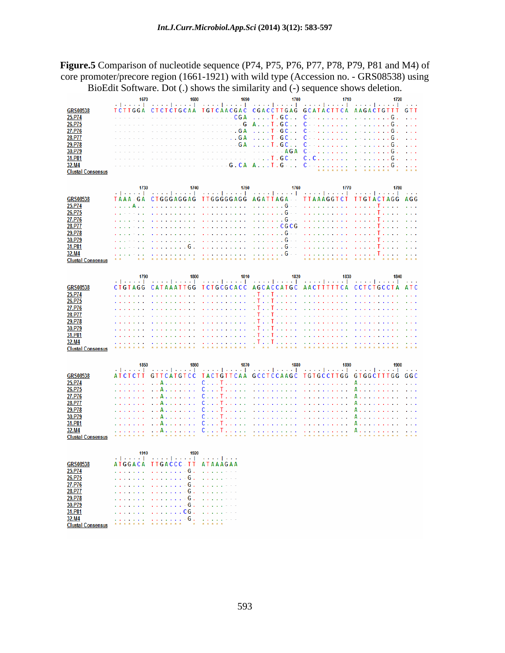**Figure.5** Comparison of nucleotide sequence (P74, P75, P76, P77, P78, P79, P81 and M4) of core promoter/precore region (1661-1921) with wild type (Accession no. - GRS08538) using BioEdit Software. Dot (.) shows the similarity and (-) sequence shows deletion.

|                                   | 1670                           | 1680                                                           | 1690                                     | 1700                                                                                                                                                                                                                           | 1710                                                                                                                                                                                                                                                                                       | 1720                                                                                                                        |
|-----------------------------------|--------------------------------|----------------------------------------------------------------|------------------------------------------|--------------------------------------------------------------------------------------------------------------------------------------------------------------------------------------------------------------------------------|--------------------------------------------------------------------------------------------------------------------------------------------------------------------------------------------------------------------------------------------------------------------------------------------|-----------------------------------------------------------------------------------------------------------------------------|
| <b>GRS08538</b>                   |                                | TCTTGGA CTCTCTGCAA TGTCAACGAC CGACCTTGAG GCATACTTCA AAGACTGTTT |                                          |                                                                                                                                                                                                                                |                                                                                                                                                                                                                                                                                            | <b>Contractor</b><br><b>GTT</b>                                                                                             |
|                                   |                                |                                                                | $  CGA$<br>$\sim 100$                    |                                                                                                                                                                                                                                | C - - -                                                                                                                                                                                                                                                                                    | .                                                                                                                           |
| 25.P74                            |                                |                                                                | $-$ - G                                  | $\ldots$ . T . GC . $\ldots$<br>A.<br>$T. G C.$ .                                                                                                                                                                              | c                                                                                                                                                                                                                                                                                          | G.<br>G                                                                                                                     |
| 26.P75                            |                                |                                                                |                                          |                                                                                                                                                                                                                                | state and a state of the state                                                                                                                                                                                                                                                             |                                                                                                                             |
| 27.P76                            | and the control of the con-    | and the state of the state of the                              | . G A<br>. <b>GA</b>                     | $\ldots$ $\overline{1}$ $\cdot$ GC $\ldots$                                                                                                                                                                                    | C<br>state and a state of the                                                                                                                                                                                                                                                              | G<br><b>Service</b>                                                                                                         |
| 28.P77<br>29.P78                  |                                |                                                                | G A<br>L.                                | $\ldots$ . T = GC $\ldots$<br>$\ldots$ . T. GC                                                                                                                                                                                 | $C = \{x_1, x_2, x_3, x_4, x_5, x_6, x_7, x_8, x_9, x_1, x_2, x_3, x_4, x_5, x_6, x_7, x_8, x_9, x_1, x_2, x_3, x_4, x_6, x_7, x_8, x_9, x_1, x_2, x_3, x_4, x_6, x_7, x_8, x_9, x_1, x_2, x_3, x_4, x_6, x_7, x_8, x_9, x_1, x_2, x_3, x_4, x_6, x_7, x_8, x_9, x_1, x_2, x_3, x_4,$<br>c | G                                                                                                                           |
| 30.P79                            |                                |                                                                | $\sim$ $\sim$                            |                                                                                                                                                                                                                                | the company of the company of the company of the company of the company of the company of the company of the company of the company of the company of the company of the company of the company of the company of the company                                                              | G.<br><b>College</b>                                                                                                        |
|                                   |                                | .                                                              | .                                        | - A G A<br>$  \cdot$ $\cdot$ $\overline{1}$ $\cdot$ $\overline{6}$ $\overline{0}$ $\cdot$ $\cdot$ $\cdot$                                                                                                                      | C<br>management of the control of the con-<br>C. C.                                                                                                                                                                                                                                        |                                                                                                                             |
| 31.P81<br>32.M4                   |                                |                                                                |                                          |                                                                                                                                                                                                                                | $C = \{x_1, x_2, x_3, x_4, x_5, x_6, x_7, x_8, x_9, x_1, x_2, x_3, x_4, x_5, x_6, x_7, x_8, x_9, x_1, x_2, x_3, x_4, x_5, x_6, x_7, x_8, x_9, x_1, x_2, x_3, x_4, x_6, x_7, x_8, x_9, x_1, x_2, x_3, x_4, x_6, x_7, x_8, x_9, x_1, x_2, x_3, x_4, x_6, x_7, x_8, x_9, x_1, x_2, x_3,$      | G                                                                                                                           |
| <b>Clustal Consensus</b>          |                                |                                                                |                                          |                                                                                                                                                                                                                                |                                                                                                                                                                                                                                                                                            |                                                                                                                             |
|                                   |                                |                                                                |                                          |                                                                                                                                                                                                                                |                                                                                                                                                                                                                                                                                            |                                                                                                                             |
|                                   |                                |                                                                |                                          |                                                                                                                                                                                                                                |                                                                                                                                                                                                                                                                                            |                                                                                                                             |
|                                   | 1730                           | 1740                                                           | 1750                                     | 1760                                                                                                                                                                                                                           | 1770                                                                                                                                                                                                                                                                                       | 1780<br>وتميمنا وتمام المتمعم المتمعيل وتبعين المتمعين المتمعين المتمعين المتمعيل وتعتمل المتمعيلة                          |
| GRS08538                          |                                |                                                                |                                          |                                                                                                                                                                                                                                |                                                                                                                                                                                                                                                                                            | TAAA GA CTGGGAGGAG TTGGGGGAGG AGATTAGA - TTAAAGGTCT TTGTACTAGG AGG                                                          |
| 25.P74                            | . <b>A</b>                     | and a straightful and a                                        | and a straight and a straight            | $\ldots$ G<br>and a state<br>$\omega_{\rm c}$                                                                                                                                                                                  | and a straight and state                                                                                                                                                                                                                                                                   |                                                                                                                             |
| 26.P75                            |                                | and a straight<br>$\sim 100$                                   | and a straight and a                     | . <b>G</b>                                                                                                                                                                                                                     | and a straightful and state                                                                                                                                                                                                                                                                | $\sim 10$<br>T<br>$\mathcal{L}^{\mathcal{L}}$ and $\mathcal{L}^{\mathcal{L}}$                                               |
| 27.P76                            |                                |                                                                | and a straight and a                     | . 6 - -                                                                                                                                                                                                                        | the second contract of the second                                                                                                                                                                                                                                                          |                                                                                                                             |
| 28.P77                            |                                | and a straight and a                                           | and a straight and a straight            | $\ldots \ldots \text{CGCG}$                                                                                                                                                                                                    | the contract of the contract of the contract of the contract of the contract of the contract of the contract of the contract of the contract of the contract of the contract of the contract of the contract of the contract o                                                             | a a la                                                                                                                      |
| 29.P78                            |                                |                                                                | and a straight and a straight            | . G<br>$\sim$ $\sim$                                                                                                                                                                                                           | and a straight and a straight                                                                                                                                                                                                                                                              |                                                                                                                             |
| 30.P79                            |                                |                                                                | and a straight and a straight            | . <b>G</b>                                                                                                                                                                                                                     | and a straight and a straight                                                                                                                                                                                                                                                              | $\sim 10$                                                                                                                   |
| 31.P81                            |                                | . G .                                                          | and a straight and a straight            | $\ldots$ $\mathsf{G}$                                                                                                                                                                                                          | the property of the property                                                                                                                                                                                                                                                               |                                                                                                                             |
| 32.M4                             |                                | and a straight to                                              |                                          |                                                                                                                                                                                                                                |                                                                                                                                                                                                                                                                                            |                                                                                                                             |
| <b>Clustal Consensus</b>          | $\pm$                          |                                                                | <b>********</b>                          |                                                                                                                                                                                                                                | .                                                                                                                                                                                                                                                                                          |                                                                                                                             |
|                                   |                                |                                                                |                                          |                                                                                                                                                                                                                                |                                                                                                                                                                                                                                                                                            |                                                                                                                             |
|                                   | 1790                           | 1800                                                           | 1810                                     | 1820                                                                                                                                                                                                                           | 1830                                                                                                                                                                                                                                                                                       | 1840                                                                                                                        |
|                                   |                                |                                                                |                                          |                                                                                                                                                                                                                                |                                                                                                                                                                                                                                                                                            | اللواحد والمتحدث المتحد المتحدث المتحد المتحدث المتحد المتحدث المتحدث المتحدث المتحدث المتحدث<br>$\alpha = \alpha - \alpha$ |
| <b>GRS08538</b>                   |                                | CTGTAGG CATAAATTGG TCTGCGCACC                                  |                                          | AGCACCATGC AACTTTTTCA                                                                                                                                                                                                          |                                                                                                                                                                                                                                                                                            | <b>CCTCTGCCTA</b><br><b>ATC</b>                                                                                             |
| 25.P74                            | and a straight and             | and a straight<br><b>College</b>                               | and a straight and a straight            | . The Therman construction of                                                                                                                                                                                                  |                                                                                                                                                                                                                                                                                            | $\sim$ 10 $\sim$                                                                                                            |
| 26.P75                            |                                | and a straight and a                                           | and a straight and a straight            |                                                                                                                                                                                                                                |                                                                                                                                                                                                                                                                                            | and a state                                                                                                                 |
| 27.P76                            |                                | and a straight and a straight                                  | the contract of the contract of the con- | . The Therman is a construction                                                                                                                                                                                                |                                                                                                                                                                                                                                                                                            |                                                                                                                             |
| 28.P77                            |                                |                                                                | and a straight and a                     | . T                                                                                                                                                                                                                            | T                                                                                                                                                                                                                                                                                          |                                                                                                                             |
| 29.P78                            |                                |                                                                | and a straight and a straight            | . The Therman is a construction                                                                                                                                                                                                |                                                                                                                                                                                                                                                                                            |                                                                                                                             |
| 30.P79                            |                                | and a straight and a                                           | and a straight and a straight            |                                                                                                                                                                                                                                |                                                                                                                                                                                                                                                                                            |                                                                                                                             |
| 31.P81                            |                                |                                                                | and a straight and a straight            | . The Therman construction of                                                                                                                                                                                                  |                                                                                                                                                                                                                                                                                            |                                                                                                                             |
| 32.M4                             |                                |                                                                | designed and control of the state of     |                                                                                                                                                                                                                                |                                                                                                                                                                                                                                                                                            |                                                                                                                             |
| <b>Clustal Consensus</b>          |                                |                                                                |                                          |                                                                                                                                                                                                                                | .                                                                                                                                                                                                                                                                                          |                                                                                                                             |
|                                   |                                |                                                                |                                          |                                                                                                                                                                                                                                |                                                                                                                                                                                                                                                                                            |                                                                                                                             |
|                                   | 1850                           | 1860                                                           | 1870                                     | 1880                                                                                                                                                                                                                           | 1890                                                                                                                                                                                                                                                                                       | 1900                                                                                                                        |
|                                   |                                |                                                                |                                          |                                                                                                                                                                                                                                |                                                                                                                                                                                                                                                                                            | وتمرينا وتعارف والمتحدث المتحدث والمتحدث المتحدث والمتحدث المتحدث المتحدث المتحدث والمتحدث المتحدث                          |
| <b>GRS08538</b>                   | ATCTCTT                        | <b>GTTCATGTCC</b>                                              |                                          | TACTGTTCAA GCCTCCAAGC TGTGCCTTGG                                                                                                                                                                                               |                                                                                                                                                                                                                                                                                            | <b>GTGGCTTTGG</b><br>G G C                                                                                                  |
| 25.P74                            | and a straight                 | . . A                                                          |                                          |                                                                                                                                                                                                                                |                                                                                                                                                                                                                                                                                            | A.,                                                                                                                         |
| 26.P75                            | and a straight                 | . . A                                                          |                                          |                                                                                                                                                                                                                                |                                                                                                                                                                                                                                                                                            | A<br>$\sim$ $\sim$                                                                                                          |
| 27.P76                            | a shekara ta 19                | . . A                                                          | c<br>т                                   |                                                                                                                                                                                                                                |                                                                                                                                                                                                                                                                                            |                                                                                                                             |
| 28.P77                            | .                              | . . A                                                          | с<br>Т                                   | and a series of the contract of the contract of the contract of the contract of the contract of the contract of the contract of the contract of the contract of the contract of the contract of the contract of the contract o |                                                                                                                                                                                                                                                                                            |                                                                                                                             |
| 29.P78                            | and a straight and             | . . A                                                          |                                          |                                                                                                                                                                                                                                |                                                                                                                                                                                                                                                                                            | A                                                                                                                           |
| 30.P79                            | and a straight and             | . . A                                                          |                                          |                                                                                                                                                                                                                                |                                                                                                                                                                                                                                                                                            |                                                                                                                             |
| 31.P81                            |                                | . . A<br>. . A                                                 | С.<br>$C_{n}$ . T.                       |                                                                                                                                                                                                                                |                                                                                                                                                                                                                                                                                            |                                                                                                                             |
| 32.M4<br><b>Clustal Consensus</b> | .                              |                                                                |                                          | .                                                                                                                                                                                                                              | .                                                                                                                                                                                                                                                                                          | A                                                                                                                           |
|                                   |                                |                                                                |                                          |                                                                                                                                                                                                                                |                                                                                                                                                                                                                                                                                            |                                                                                                                             |
|                                   |                                |                                                                |                                          |                                                                                                                                                                                                                                |                                                                                                                                                                                                                                                                                            |                                                                                                                             |
|                                   | 1910                           | 1920                                                           |                                          |                                                                                                                                                                                                                                |                                                                                                                                                                                                                                                                                            |                                                                                                                             |
|                                   |                                |                                                                |                                          |                                                                                                                                                                                                                                |                                                                                                                                                                                                                                                                                            |                                                                                                                             |
|                                   |                                | والمتمر المتحدود والمتحدود المتحدود والمتحدود المتحد           |                                          |                                                                                                                                                                                                                                |                                                                                                                                                                                                                                                                                            |                                                                                                                             |
| <b>GRS08538</b>                   |                                | ATGGACA TTGACCC TT ATAAAGAA                                    |                                          |                                                                                                                                                                                                                                |                                                                                                                                                                                                                                                                                            |                                                                                                                             |
| 25.P74                            |                                | . 6 .                                                          | <b>Contract Contract Contract</b>        |                                                                                                                                                                                                                                |                                                                                                                                                                                                                                                                                            |                                                                                                                             |
| 26.P75                            |                                | . - G .                                                        | <b>Service</b> State                     |                                                                                                                                                                                                                                |                                                                                                                                                                                                                                                                                            |                                                                                                                             |
| 27.P76                            |                                | . 6 .                                                          | <b>Service State</b>                     |                                                                                                                                                                                                                                |                                                                                                                                                                                                                                                                                            |                                                                                                                             |
| 28.P77                            | $\alpha$ , $\alpha$ , $\alpha$ | . - G .                                                        | and a series                             |                                                                                                                                                                                                                                |                                                                                                                                                                                                                                                                                            |                                                                                                                             |
| 29.P78                            | and a state                    | . <b>G</b> .                                                   | and a series of<br>and a series          |                                                                                                                                                                                                                                |                                                                                                                                                                                                                                                                                            |                                                                                                                             |
| 30.P79                            |                                | . - G .<br>. CG .                                              | and a straight of                        |                                                                                                                                                                                                                                |                                                                                                                                                                                                                                                                                            |                                                                                                                             |
| 31.P81                            | $\sim$ 100 $\pm$               | . - G .                                                        | and a straight to be                     |                                                                                                                                                                                                                                |                                                                                                                                                                                                                                                                                            |                                                                                                                             |
| 32.M4<br><b>Clustal Consensus</b> |                                | $* * *$                                                        |                                          |                                                                                                                                                                                                                                |                                                                                                                                                                                                                                                                                            |                                                                                                                             |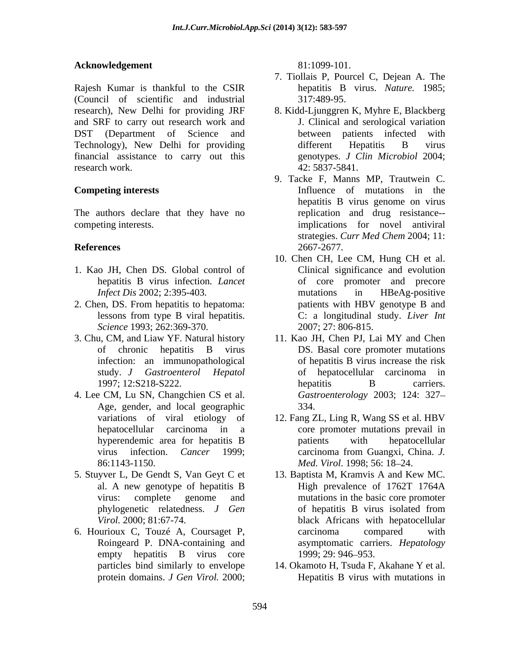### **Acknowledgement** 81:1099-101.

Rajesh Kumar is thankful to the CSIR (Council of scientific and industrial research), New Delhi for providing JRF 8. Kidd-Ljunggren K, Myhre E, Blackberg and SRF to carry out research work and DST (Department of Science and Technology), New Delhi for providing different Hepatitis B virus financial assistance to carry out this research work. 42: 5837-5841.

The authors declare that they have no

- 1. Kao JH, Chen DS*.* Global control of
- 2. Chen, DS. From hepatitis to hepatoma: patients with HBV genotype B and *Science* 1993; 262:369-370.
- 3. Chu, CM, and Liaw YF. Natural history 11. Kao JH, Chen PJ, Lai MY and Chen of chronic hepatitis B virus
- 4. Lee CM, Lu SN, Changchien CS et al. Age, gender, and local geographic 334.
- 5. Stuyver L, De Gendt S, Van Geyt C et
- 6. Hourioux C, Touzé A, Coursaget P, carcinoma compared with<br>Roingeard P. DNA-containing and asymptomatic carriers. *Hepatology*

81:1099-101.

- 7. Tiollais P, Pourcel C, Dejean A. The hepatitis B virus. *Nature.* 1985; 317:489-95.
- J. Clinical and serological variation between patients infected with different Hepatitis B virus genotypes. *J Clin Microbiol* 2004; 42: 5837-5841.
- **Competing interests**  Influence of mutations in the competing interests. implications for novel antiviral **References** 2667-2677. 9. Tacke F, Manns MP, Trautwein C. hepatitis B virus genome on virus replication and drug resistance- strategies. *Curr Med Chem* 2004; 11: 2667-2677.
	- hepatitis B virus infection*. Lancet* of core promoter and precore *Infect Dis* 2002; 2:395*-*403*.* lessons from type B viral hepatitis. C: a longitudinal study. *Liver Int* 10. Chen CH, Lee CM, Hung CH et al. Clinical significance and evolution mutations in HBeAg-positive patients with HBV genotype B and C: a longitudinal study. *Liver Int* 2007; 27: 806-815.
	- infection: an immunopathological of hepatitis B virus increase the risk study. *J Gastroenterol Hepatol* of hepatocellular carcinoma in 1997; 12:S218-S222. hepatitis B carriers. DS. Basal core promoter mutations hepatitis B carriers. *Gastroenterology* 2003; 124: 327 334.
	- variations of viral etiology of 12. Fang ZL, Ling R, Wang SS et al. HBV hepatocellular carcinoma in a core promoter mutations prevail in hyperendemic area for hepatitis B patients with hepatocellular virus infection. *Cancer* 1999; 86:1143-1150. *Med. Virol*. 1998; 56: 18 24. patients with hepatocellular carcinoma from Guangxi, China. *J.*
	- al. A new genotype of hepatitis B virus: complete genome and mutations in the basic core promoter phylogenetic relatedness. *J Gen Virol.* 2000; 81:67-74. black Africans with hepatocellular empty hepatitis B virus core 1999; 29: 946–953. 13. Baptista M, Kramvis A and Kew MC. High prevalence of 1762T 1764A of hepatitis B virus isolated from carcinoma compared with asymptomatic carriers. *Hepatology* 1999; 29: 946 953.
	- particles bind similarly to envelope 14. Okamoto H, Tsuda F, Akahane Y et al. protein domains. *J Gen Virol.* 2000; Hepatitis B virus with mutations in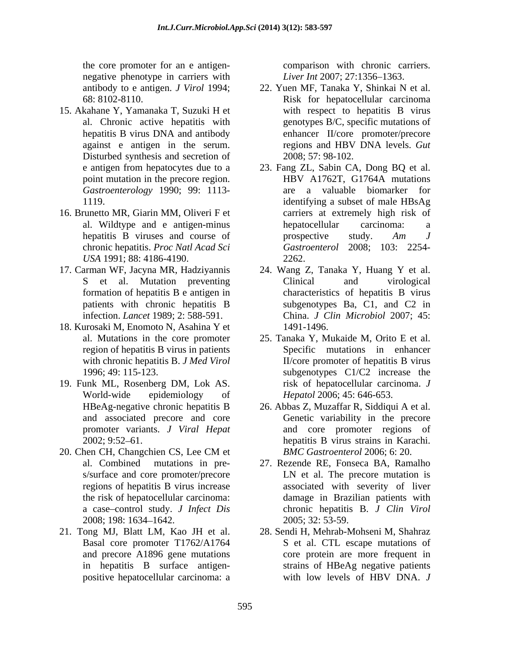the core promoter for an e antigen- comparison with chronic carriers. negative phenotype in carriers with

- 15. Akahane Y, Yamanaka T, Suzuki H et Disturbed synthesis and secretion of *Gastroenterology* 1990; 99: 1113-
- *USA* 1991; 88: 4186-4190.
- 
- 18. Kurosaki M, Enomoto N, Asahina Y et
- 19. Funk ML, Rosenberg DM, Lok AS. and associated precore and core
- 20. Chen CH, Changchien CS, Lee CM et BMC Gastroenterol 2006; 6: 20.
- in hepatitis B surface antigen-

*Liver Int* 2007; 27:1356–1363.

- antibody to e antigen. *J Virol* 1994; 22. Yuen MF, Tanaka Y, Shinkai N et al. 68: 8102-8110. Risk for hepatocellular carcinoma al. Chronic active hepatitis with genotypes B/C, specific mutations of hepatitis B virus DNA and antibody enhancer II/core promoter/precore against e antigen in the serum. regions and HBV DNA levels. Gut with respect to hepatitis B virus 2008; 57: 98-102.
- e antigen from hepatocytes due to a 23. Fang ZL, Sabin CA, Dong BQ et al. point mutation in the precore region. HBV A1762T, G1764A mutations 1119. identifying a subset of male HBsAg 16. Brunetto MR, Giarin MM, Oliveri F et carriers at extremely high risk of al. Wildtype and e antigen-minus hepatitis B viruses and course of prospective study. Am J chronic hepatitis. *Proc Natl Acad Sci Gastroenterol* 2008; 103: 2254- HBV A1762T, G1764A mutations are a valuable biomarker for hepatocellular carcinoma: a prospective study. *Am J* 2262.
- 17. Carman WF, Jacyna MR, Hadziyannis 24. Wang Z, Tanaka Y, Huang Y et al. S et al. Mutation preventing Clinical and virological formation of hepatitis B e antigen in characteristics of hepatitis B virus patients with chronic hepatitis B subgenotypes Ba, C1, and C2 in infection. *Lancet* 1989; 2: 588-591. China. *J Clin Microbiol* 2007; 45: Clinical and virological subgenotypes Ba, C1, and C2 in 1491-1496.
	- al. Mutations in the core promoter 25. Tanaka Y, Mukaide M, Orito E et al. region of hepatitis B virus in patients Specific mutations in enhancer with chronic hepatitis B. *J Med Virol* **II**/core promoter of hepatitis B virus 1996; 49: 115-123. subgenotypes C1/C2 increase the World-wide epidemiology of *Hepatol* 2006; 45: 646-653. risk of hepatocellular carcinoma. *J Hepatol* 2006; 45: 646-653.
	- HBeAg-negative chronic hepatitis B 26. Abbas Z, Muzaffar R, Siddiqui A et al. promoter variants. *J Viral Hepat* and core promoter regions of 2002; 9:52 61. hepatitis B virus strains in Karachi. Genetic variability in the precore *BMC Gastroenterol* 2006; 6: 20.
	- al. Combined mutations in pre- 27. Rezende RE, Fonseca BA, Ramalho s/surface and core promoter/precore LN et al. The precore mutation is regions of hepatitis B virus increase associated with severity of liver the risk of hepatocellular carcinoma: damage in Brazilian patientswith a case control study. *J Infect Dis* chronic hepatitis B. *J Clin Virol* 2008; 198: 1634–1642. 2005; 32: 53-59. 2005; 32: 53-59.
- 21. Tong MJ, Blatt LM, Kao JH et al. 28. Sendi H, Mehrab-Mohseni M, Shahraz Basal core promoter T1762/A1764 S et al. CTL escape mutations of and precore A1896 gene mutations core protein are more frequent in positive hepatocellular carcinoma: a with low levels of HBV DNA. J strains of HBeAg negative patients with low levels of HBV DNA. *J*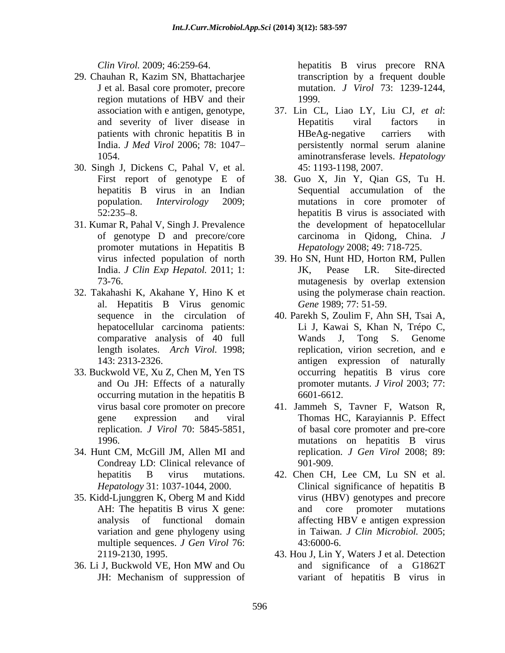- 29. Chauhan R, Kazim SN, Bhattacharjee J et al. Basal core promoter, precore region mutations of HBV and their 1999.
- 30. Singh J, Dickens C, Pahal V, et al.
- 31. Kumar R, Pahal V, Singh J. Prevalence
- 32. Takahashi K, Akahane Y, Hino K et al. Hepatitis B Virus genomic hepatocellular carcinoma patients: comparative analysis of 40 full length isolates. *Arch Virol.* 1998;
- 33. Buckwold VE, Xu Z, Chen M, Yen TS
- 34. Hunt CM, McGill JM, Allen MI and Condreay LD: Clinical relevance of 901-909.
- variation and gene phylogeny using multiple sequences. *J Gen Virol* 76: 43:6000-6.
- 

*Clin Virol.* 2009; 46:259-64. hepatitis B virus precore RNA transcription by a frequent double mutation. *J Virol* 73: 1239-1244, 1999.

- association with e antigen, genotype, 37. Lin CL, Liao LY, Liu CJ, *et al*: and severity of liver disease in patients with chronic hepatitis B in THBeAg-negative carriers with India. *J Med Virol* 2006; 78: 1047 1054. aminotransferase levels. *Hepatology* Hepatitis viral factors in HBeAg-negative carriers with persistently normal serum alanine 45: 1193-1198, 2007.
- First report of genotype E of 38. Guo X, Jin Y, Qian GS, Tu H. hepatitis B virus in an Indian Sequential accumulation of the population. *Intervirology* 2009; mutations in core promoter of 52:235 8. hepatitis B virus is associated with of genotype D and precore/core carcinoma in Qidong, China. *J*  promoter mutations in Hepatitis B Hepatology 2008; 49: 718-725. the development of hepatocellular *Hepatology* 2008; 49: 718-725.
- virus infected population of north 39. Ho SN, Hunt HD, Horton RM, Pullen India. *J Clin Exp Hepatol.* 2011; 1: 73-76. mutagenesis by overlap extension JK, Pease LR. Site-directed using the polymerase chain reaction. *Gene* 1989; 77: 51-59.
- sequence in the circulation of 40. Parekh S, Zoulim F, Ahn SH, Tsai A, 143: 2313-2326. antigen expression of naturally and Ou JH: Effects of a naturally promoter mutants. *J Virol* 2003; 77: occurring mutation in the hepatitis B 6601-6612. Li J, Kawai S, Khan N, Trépo C, Wands J, Tong S. Genome replication, virion secretion, and e occurring hepatitis B virus core 6601-6612.
- virus basal core promoter on precore 41. Jammeh S, Tavner F, Watson R, gene expression and viral Thomas HC, Karayiannis P. Effect replication. *J Virol* 70: 5845-5851, of basal core promoter and pre-core 1996. mutations on hepatitis B virus replication. *J Gen Virol* 2008; 89: 901-909.
- hepatitis B virus mutations. 42. Chen CH, Lee CM, Lu SN et al. *Hepatology* 31: 1037-1044, 2000. 35. Kidd-Ljunggren K, Oberg M and Kidd AH: The hepatitis B virus X gene: and core promoter mutations analysis of functional domain affecting HBV e antigen expression Clinical significance of hepatitis B virus (HBV) genotypes and precore and core promoter mutations in Taiwan. *J Clin Microbiol.* 2005; 43:6000-6.
- 2119-2130, 1995. 43. Hou J, Lin Y, Waters J et al. Detection 36. Li J, Buckwold VE, Hon MW and Ou JH: Mechanism of suppression of and significance of a G1862T variant of hepatitis B virus in